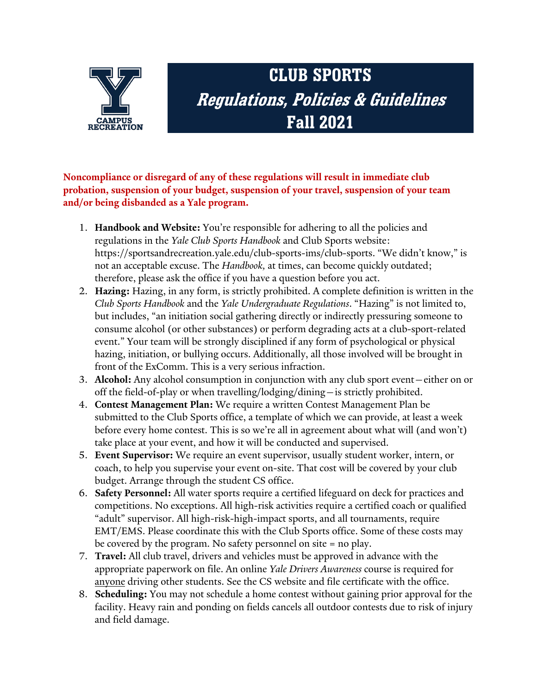

## **CLUB SPORTS Regulations, Policies & Guidelines Fall 2021**

**Noncompliance or disregard of any of these regulations will result in immediate club probation, suspension of your budget, suspension of your travel, suspension of your team and/or being disbanded as a Yale program.**

- 1. **Handbook and Website:** You're responsible for adhering to all the policies and regulations in the *Yale Club Sports Handbook* and Club Sports website: https://sportsandrecreation.yale.edu/club-sports-ims/club-sports. "We didn't know," is not an acceptable excuse. The *Handbook,* at times, can become quickly outdated; therefore, please ask the office if you have a question before you act.
- 2. **Hazing:** Hazing, in any form, is strictly prohibited. A complete definition is written in the *Club Sports Handbook* and the *Yale Undergraduate Regulations*. "Hazing" is not limited to, but includes, "an initiation social gathering directly or indirectly pressuring someone to consume alcohol (or other substances) or perform degrading acts at a club-sport-related event." Your team will be strongly disciplined if any form of psychological or physical hazing, initiation, or bullying occurs. Additionally, all those involved will be brought in front of the ExComm. This is a very serious infraction.
- 3. **Alcohol:** Any alcohol consumption in conjunction with any club sport event—either on or off the field-of-play or when travelling/lodging/dining—is strictly prohibited.
- 4. **Contest Management Plan:** We require a written Contest Management Plan be submitted to the Club Sports office, a template of which we can provide, at least a week before every home contest. This is so we're all in agreement about what will (and won't) take place at your event, and how it will be conducted and supervised.
- 5. **Event Supervisor:** We require an event supervisor, usually student worker, intern, or coach, to help you supervise your event on-site. That cost will be covered by your club budget. Arrange through the student CS office.
- 6. **Safety Personnel:** All water sports require a certified lifeguard on deck for practices and competitions. No exceptions. All high-risk activities require a certified coach or qualified "adult" supervisor. All high-risk-high-impact sports, and all tournaments, require EMT/EMS. Please coordinate this with the Club Sports office. Some of these costs may be covered by the program. No safety personnel on site = no play.
- 7. **Travel:** All club travel, drivers and vehicles must be approved in advance with the appropriate paperwork on file. An online *Yale Drivers Awareness* course is required for anyone driving other students. See the CS website and file certificate with the office.
- 8. **Scheduling:** You may not schedule a home contest without gaining prior approval for the facility. Heavy rain and ponding on fields cancels all outdoor contests due to risk of injury and field damage.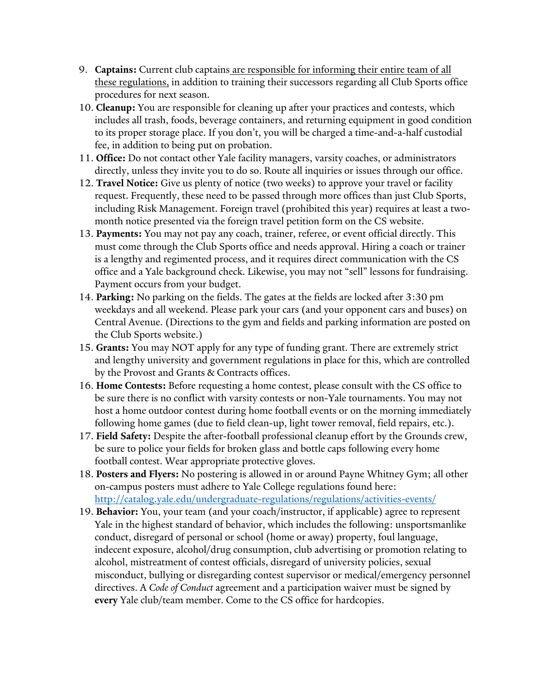- 9. **Captains:** Current club captains are responsible for informing their entire team of all these regulations, in addition to training their successors regarding all Club Sports office procedures for next season.
- 10. **Cleanup:** You are responsible for cleaning up after your practices and contests, which includes all trash, foods, beverage containers, and returning equipment in good condition to its proper storage place. If you don't, you will be charged a time-and-a-half custodial fee, in addition to being put on probation.
- 11. **Office:** Do not contact other Yale facility managers, varsity coaches, or administrators directly, unless they invite you to do so. Route all inquiries or issues through our office.
- 12. **Travel Notice:** Give us plenty of notice (two weeks) to approve your travel or facility request. Frequently, these need to be passed through more offices than just Club Sports, including Risk Management. Foreign travel (prohibited this year) requires at least a twomonth notice presented via the foreign travel petition form on the CS website.
- 13. **Payments:** You may not pay any coach, trainer, referee, or event official directly. This must come through the Club Sports office and needs approval. Hiring a coach or trainer is a lengthy and regimented process, and it requires direct communication with the CS office and a Yale background check. Likewise, you may not "sell" lessons for fundraising. Payment occurs from your budget.
- 14. **Parking:** No parking on the fields. The gates at the fields are locked after 3:30 pm weekdays and all weekend. Please park your cars (and your opponent cars and buses) on Central Avenue. (Directions to the gym and fields and parking information are posted on the Club Sports website.)
- 15. **Grants:** You may NOT apply for any type of funding grant. There are extremely strict and lengthy university and government regulations in place for this, which are controlled by the Provost and Grants & Contracts offices.
- 16. **Home Contests:** Before requesting a home contest, please consult with the CS office to be sure there is no conflict with varsity contests or non-Yale tournaments. You may not host a home outdoor contest during home football events or on the morning immediately following home games (due to field clean-up, light tower removal, field repairs, etc.).
- 17. **Field Safety:** Despite the after-football professional cleanup effort by the Grounds crew, be sure to police your fields for broken glass and bottle caps following every home football contest. Wear appropriate protective gloves.
- 18. **Posters and Flyers:** No postering is allowed in or around Payne Whitney Gym; all other on-campus posters must adhere to Yale College regulations found here: <http://catalog.yale.edu/undergraduate-regulations/regulations/activities-events/>
- 19. **Behavior:** You, your team (and your coach/instructor, if applicable) agree to represent Yale in the highest standard of behavior, which includes the following: unsportsmanlike conduct, disregard of personal or school (home or away) property, foul language, indecent exposure, alcohol/drug consumption, club advertising or promotion relating to alcohol, mistreatment of contest officials, disregard of university policies, sexual misconduct, bullying or disregarding contest supervisor or medical/emergency personnel directives. A *Code of Conduct* agreement and a participation waiver must be signed by **every** Yale club/team member. Come to the CS office for hardcopies.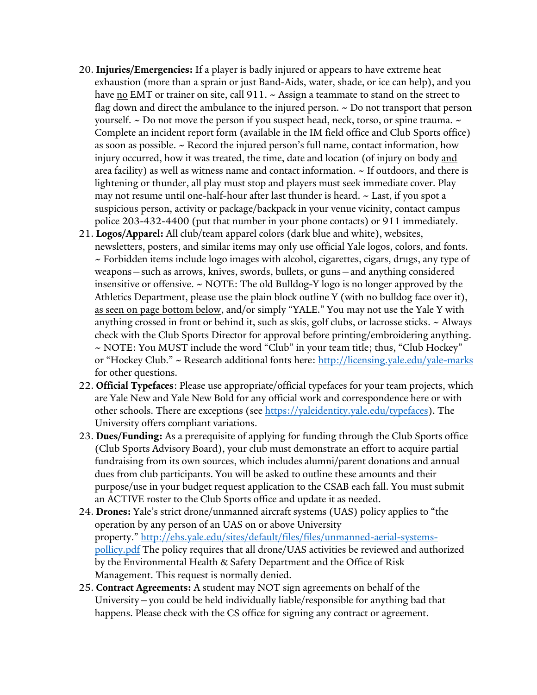- 20. **Injuries/Emergencies:** If a player is badly injured or appears to have extreme heat exhaustion (more than a sprain or just Band-Aids, water, shade, or ice can help), and you have  $\underline{no}$  EMT or trainer on site, call 911.  $\sim$  Assign a teammate to stand on the street to flag down and direct the ambulance to the injured person.  $\sim$  Do not transport that person yourself.  $\sim$  Do not move the person if you suspect head, neck, torso, or spine trauma.  $\sim$ Complete an incident report form (available in the IM field office and Club Sports office) as soon as possible. ~ Record the injured person's full name, contact information, how injury occurred, how it was treated, the time, date and location (of injury on body and area facility) as well as witness name and contact information.  $\sim$  If outdoors, and there is lightening or thunder, all play must stop and players must seek immediate cover. Play may not resume until one-half-hour after last thunder is heard. ~ Last, if you spot a suspicious person, activity or package/backpack in your venue vicinity, contact campus police 203-432-4400 (put that number in your phone contacts) or 911 immediately.
- 21. **Logos/Apparel:** All club/team apparel colors (dark blue and white), websites, newsletters, posters, and similar items may only use official Yale logos, colors, and fonts. ~ Forbidden items include logo images with alcohol, cigarettes, cigars, drugs, any type of weapons—such as arrows, knives, swords, bullets, or guns—and anything considered insensitive or offensive. ~ NOTE: The old Bulldog-Y logo is no longer approved by the Athletics Department, please use the plain block outline Y (with no bulldog face over it), as seen on page bottom below, and/or simply "YALE." You may not use the Yale Y with anything crossed in front or behind it, such as skis, golf clubs, or lacrosse sticks.  $\sim$  Always check with the Club Sports Director for approval before printing/embroidering anything. ~ NOTE: You MUST include the word "Club" in your team title; thus, "Club Hockey" or "Hockey Club." ~ Research additional fonts here: [http://licensing.yale.edu/yale-marks](https://nam12.safelinks.protection.outlook.com/?url=http%3A%2F%2Flicensing.yale.edu%2Fyale-marks&data=04%7C01%7Ctom.migdalski%40yale.edu%7C2b4cb47bba364f39f9a708d97391b2b7%7Cdd8cbebb21394df8b4114e3e87abeb5c%7C0%7C0%7C637667891865512378%7CUnknown%7CTWFpbGZsb3d8eyJWIjoiMC4wLjAwMDAiLCJQIjoiV2luMzIiLCJBTiI6Ik1haWwiLCJXVCI6Mn0%3D%7C1000&sdata=D0kk8S8kXlfFkM9MnDoEWcsNakzC2EIt1EnhTu1L7Rc%3D&reserved=0) for other questions.
- 22. **Official Typefaces**: Please use appropriate/official typefaces for your team projects, which are Yale New and Yale New Bold for any official work and correspondence here or with other schools. There are exceptions (see [https://yaleidentity.yale.edu/typefaces\)](https://yaleidentity.yale.edu/typefaces). The University offers compliant variations.
- 23. **Dues/Funding:** As a prerequisite of applying for funding through the Club Sports office (Club Sports Advisory Board), your club must demonstrate an effort to acquire partial fundraising from its own sources, which includes alumni/parent donations and annual dues from club participants. You will be asked to outline these amounts and their purpose/use in your budget request application to the CSAB each fall. You must submit an ACTIVE roster to the Club Sports office and update it as needed.
- 24. **Drones:** Yale's strict drone/unmanned aircraft systems (UAS) policy applies to "the operation by any person of an UAS on or above University property." [http://ehs.yale.edu/sites/default/files/files/unmanned-aerial-systems](https://nam12.safelinks.protection.outlook.com/?url=http%3A%2F%2Fehs.yale.edu%2Fsites%2Fdefault%2Ffiles%2Ffiles%2Funmanned-aerial-systems-pollicy.pdf&data=04%7C01%7Ctom.migdalski%40yale.edu%7C2b4cb47bba364f39f9a708d97391b2b7%7Cdd8cbebb21394df8b4114e3e87abeb5c%7C0%7C0%7C637667891865522320%7CUnknown%7CTWFpbGZsb3d8eyJWIjoiMC4wLjAwMDAiLCJQIjoiV2luMzIiLCJBTiI6Ik1haWwiLCJXVCI6Mn0%3D%7C1000&sdata=%2BwAvLq%2FgA67btSaSY5mWFpoNx1W3AjiV%2BRK%2FtC6BiFA%3D&reserved=0)[pollicy.pdf](https://nam12.safelinks.protection.outlook.com/?url=http%3A%2F%2Fehs.yale.edu%2Fsites%2Fdefault%2Ffiles%2Ffiles%2Funmanned-aerial-systems-pollicy.pdf&data=04%7C01%7Ctom.migdalski%40yale.edu%7C2b4cb47bba364f39f9a708d97391b2b7%7Cdd8cbebb21394df8b4114e3e87abeb5c%7C0%7C0%7C637667891865522320%7CUnknown%7CTWFpbGZsb3d8eyJWIjoiMC4wLjAwMDAiLCJQIjoiV2luMzIiLCJBTiI6Ik1haWwiLCJXVCI6Mn0%3D%7C1000&sdata=%2BwAvLq%2FgA67btSaSY5mWFpoNx1W3AjiV%2BRK%2FtC6BiFA%3D&reserved=0) The policy requires that all drone/UAS activities be reviewed and authorized by the Environmental Health & Safety Department and the Office of Risk Management. This request is normally denied.
- 25. **Contract Agreements:** A student may NOT sign agreements on behalf of the University—you could be held individually liable/responsible for anything bad that happens. Please check with the CS office for signing any contract or agreement.